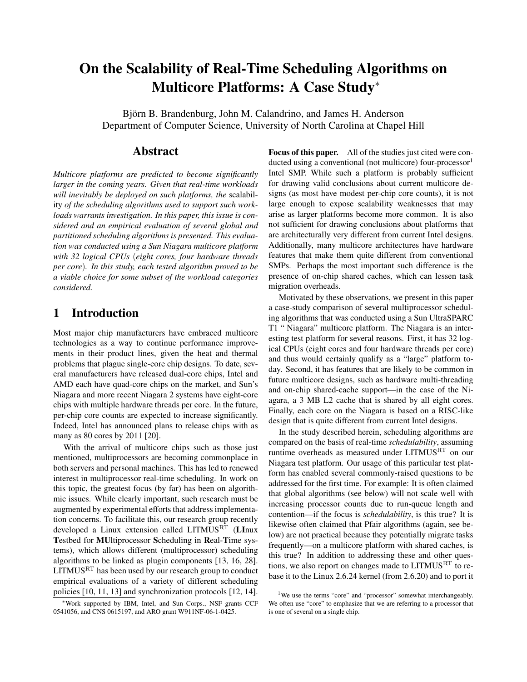# On the Scalability of Real-Time Scheduling Algorithms on Multicore Platforms: A Case Study<sup>∗</sup>

Björn B. Brandenburg, John M. Calandrino, and James H. Anderson Department of Computer Science, University of North Carolina at Chapel Hill

## Abstract

*Multicore platforms are predicted to become significantly larger in the coming years. Given that real-time workloads will inevitably be deployed on such platforms, the* scalability *of the scheduling algorithms used to support such workloads warrants investigation. In this paper, this issue is considered and an empirical evaluation of several global and partitioned scheduling algorithms is presented. This evaluation was conducted using a Sun Niagara multicore platform with 32 logical CPUs* (*eight cores, four hardware threads per core*)*. In this study, each tested algorithm proved to be a viable choice for some subset of the workload categories considered.*

## 1 Introduction

Most major chip manufacturers have embraced multicore technologies as a way to continue performance improvements in their product lines, given the heat and thermal problems that plague single-core chip designs. To date, several manufacturers have released dual-core chips, Intel and AMD each have quad-core chips on the market, and Sun's Niagara and more recent Niagara 2 systems have eight-core chips with multiple hardware threads per core. In the future, per-chip core counts are expected to increase significantly. Indeed, Intel has announced plans to release chips with as many as 80 cores by 2011 [20].

With the arrival of multicore chips such as those just mentioned, multiprocessors are becoming commonplace in both servers and personal machines. This has led to renewed interest in multiprocessor real-time scheduling. In work on this topic, the greatest focus (by far) has been on algorithmic issues. While clearly important, such research must be augmented by experimental efforts that address implementation concerns. To facilitate this, our research group recently developed a Linux extension called LITMUSRT (LInux Testbed for MUltiprocessor Scheduling in Real-Time systems), which allows different (multiprocessor) scheduling algorithms to be linked as plugin components [13, 16, 28].  $LITMUS<sup>RT</sup>$  has been used by our research group to conduct empirical evaluations of a variety of different scheduling policies [10, 11, 13] and synchronization protocols [12, 14]. Focus of this paper. All of the studies just cited were conducted using a conventional (not multicore) four-processor Intel SMP. While such a platform is probably sufficient for drawing valid conclusions about current multicore designs (as most have modest per-chip core counts), it is not large enough to expose scalability weaknesses that may arise as larger platforms become more common. It is also not sufficient for drawing conclusions about platforms that are architecturally very different from current Intel designs. Additionally, many multicore architectures have hardware features that make them quite different from conventional SMPs. Perhaps the most important such difference is the presence of on-chip shared caches, which can lessen task migration overheads.

Motivated by these observations, we present in this paper a case-study comparison of several multiprocessor scheduling algorithms that was conducted using a Sun UltraSPARC T1 " Niagara" multicore platform. The Niagara is an interesting test platform for several reasons. First, it has 32 logical CPUs (eight cores and four hardware threads per core) and thus would certainly qualify as a "large" platform today. Second, it has features that are likely to be common in future multicore designs, such as hardware multi-threading and on-chip shared-cache support—in the case of the Niagara, a 3 MB L2 cache that is shared by all eight cores. Finally, each core on the Niagara is based on a RISC-like design that is quite different from current Intel designs.

In the study described herein, scheduling algorithms are compared on the basis of real-time *schedulability*, assuming runtime overheads as measured under LITMUS<sup>RT</sup> on our Niagara test platform. Our usage of this particular test platform has enabled several commonly-raised questions to be addressed for the first time. For example: It is often claimed that global algorithms (see below) will not scale well with increasing processor counts due to run-queue length and contention—if the focus is *schedulability*, is this true? It is likewise often claimed that Pfair algorithms (again, see below) are not practical because they potentially migrate tasks frequently—on a multicore platform with shared caches, is this true? In addition to addressing these and other questions, we also report on changes made to  $LITMUS<sup>RT</sup>$  to rebase it to the Linux 2.6.24 kernel (from 2.6.20) and to port it

<sup>∗</sup>Work supported by IBM, Intel, and Sun Corps., NSF grants CCF 0541056, and CNS 0615197, and ARO grant W911NF-06-1-0425.

<sup>&</sup>lt;sup>1</sup>We use the terms "core" and "processor" somewhat interchangeably. We often use "core" to emphasize that we are referring to a processor that is one of several on a single chip.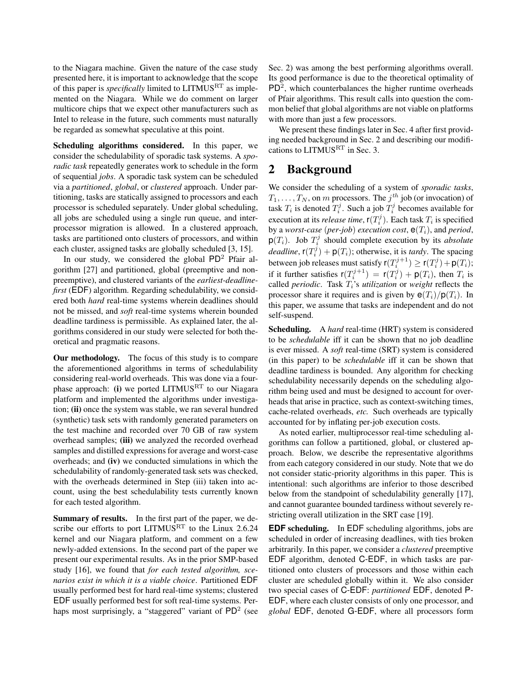to the Niagara machine. Given the nature of the case study presented here, it is important to acknowledge that the scope of this paper is *specifically* limited to LITMUSRT as implemented on the Niagara. While we do comment on larger multicore chips that we expect other manufacturers such as Intel to release in the future, such comments must naturally be regarded as somewhat speculative at this point.

Scheduling algorithms considered. In this paper, we consider the schedulability of sporadic task systems. A *sporadic task* repeatedly generates work to schedule in the form of sequential *jobs*. A sporadic task system can be scheduled via a *partitioned*, *global*, or *clustered* approach. Under partitioning, tasks are statically assigned to processors and each processor is scheduled separately. Under global scheduling, all jobs are scheduled using a single run queue, and interprocessor migration is allowed. In a clustered approach, tasks are partitioned onto clusters of processors, and within each cluster, assigned tasks are globally scheduled [3, 15].

In our study, we considered the global  $PD^2$  Pfair algorithm [27] and partitioned, global (preemptive and nonpreemptive), and clustered variants of the *earliest-deadlinefirst* (EDF) algorithm. Regarding schedulability, we considered both *hard* real-time systems wherein deadlines should not be missed, and *soft* real-time systems wherein bounded deadline tardiness is permissible. As explained later, the algorithms considered in our study were selected for both theoretical and pragmatic reasons.

Our methodology. The focus of this study is to compare the aforementioned algorithms in terms of schedulability considering real-world overheads. This was done via a fourphase approach: (i) we ported  $LITMUS<sup>RT</sup>$  to our Niagara platform and implemented the algorithms under investigation; (ii) once the system was stable, we ran several hundred (synthetic) task sets with randomly generated parameters on the test machine and recorded over 70 GB of raw system overhead samples; (iii) we analyzed the recorded overhead samples and distilled expressions for average and worst-case overheads; and (iv) we conducted simulations in which the schedulability of randomly-generated task sets was checked, with the overheads determined in Step (iii) taken into account, using the best schedulability tests currently known for each tested algorithm.

Summary of results. In the first part of the paper, we describe our efforts to port LITMUS<sup>RT</sup> to the Linux 2.6.24 kernel and our Niagara platform, and comment on a few newly-added extensions. In the second part of the paper we present our experimental results. As in the prior SMP-based study [16], we found that *for each tested algorithm, scenarios exist in which it is a viable choice*. Partitioned EDF usually performed best for hard real-time systems; clustered EDF usually performed best for soft real-time systems. Perhaps most surprisingly, a "staggered" variant of  $PD^2$  (see

Sec. 2) was among the best performing algorithms overall. Its good performance is due to the theoretical optimality of PD<sup>2</sup>, which counterbalances the higher runtime overheads of Pfair algorithms. This result calls into question the common belief that global algorithms are not viable on platforms with more than just a few processors.

We present these findings later in Sec. 4 after first providing needed background in Sec. 2 and describing our modifications to LITMUS<sup>RT</sup> in Sec. 3.

## 2 Background

We consider the scheduling of a system of *sporadic tasks*,  $T_1, \ldots, T_N$ , on m processors. The  $j<sup>th</sup>$  job (or invocation) of task  $T_i$  is denoted  $T_i^j$ . Such a job  $T_i^j$  becomes available for execution at its *release time*,  $r(T_i^j)$ . Each task  $T_i$  is specified by a *worst-case* (*per-job*) *execution cost*,  $e(T_i)$ , and *period*,  $p(T_i)$ . Job  $T_i^j$  should complete execution by its *absolute deadline*,  $r(T_i^j) + p(T_i)$ ; otherwise, it is *tardy*. The spacing between job releases must satisfy  $\mathsf{r}(T_i^{j+1}) \ge \mathsf{r}(T_i^j) + \mathsf{p}(T_i);$ if it further satisfies  $r(T_i^{j+1}) = r(T_i^j) + p(T_i)$ , then  $T_i$  is called *periodic*. Task  $T_i$ 's *utilization* or *weight* reflects the processor share it requires and is given by  $e(T_i)/p(T_i)$ . In this paper, we assume that tasks are independent and do not self-suspend.

Scheduling. A *hard* real-time (HRT) system is considered to be *schedulable* iff it can be shown that no job deadline is ever missed. A *soft* real-time (SRT) system is considered (in this paper) to be *schedulable* iff it can be shown that deadline tardiness is bounded. Any algorithm for checking schedulability necessarily depends on the scheduling algorithm being used and must be designed to account for overheads that arise in practice, such as context-switching times, cache-related overheads, *etc.* Such overheads are typically accounted for by inflating per-job execution costs.

As noted earlier, multiprocessor real-time scheduling algorithms can follow a partitioned, global, or clustered approach. Below, we describe the representative algorithms from each category considered in our study. Note that we do not consider static-priority algorithms in this paper. This is intentional: such algorithms are inferior to those described below from the standpoint of schedulability generally [17], and cannot guarantee bounded tardiness without severely restricting overall utilization in the SRT case [19].

**EDF** scheduling. In EDF scheduling algorithms, jobs are scheduled in order of increasing deadlines, with ties broken arbitrarily. In this paper, we consider a *clustered* preemptive EDF algorithm, denoted C-EDF, in which tasks are partitioned onto clusters of processors and those within each cluster are scheduled globally within it. We also consider two special cases of C-EDF: *partitioned* EDF, denoted P-EDF, where each cluster consists of only one processor, and *global* EDF, denoted G-EDF, where all processors form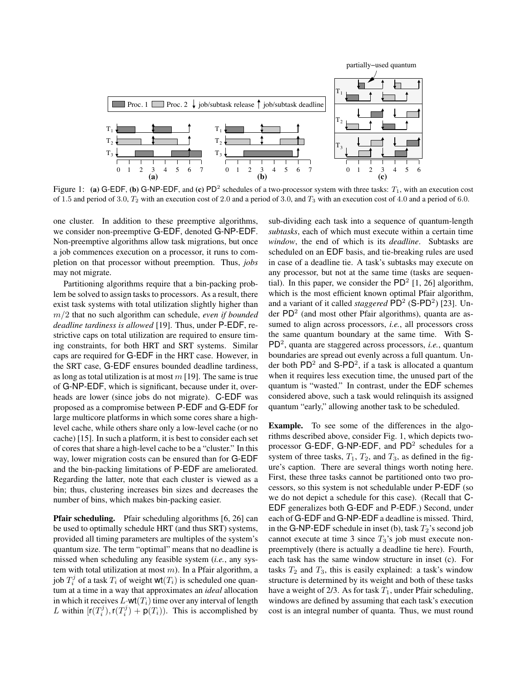

Figure 1: (a) G-EDF, (b) G-NP-EDF, and (c)  $PD^2$  schedules of a two-processor system with three tasks:  $T_1$ , with an execution cost of 1.5 and period of 3.0,  $T_2$  with an execution cost of 2.0 and a period of 3.0, and  $T_3$  with an execution cost of 4.0 and a period of 6.0.

one cluster. In addition to these preemptive algorithms, we consider non-preemptive G-EDF, denoted G-NP-EDF. Non-preemptive algorithms allow task migrations, but once a job commences execution on a processor, it runs to completion on that processor without preemption. Thus, *jobs* may not migrate.

Partitioning algorithms require that a bin-packing problem be solved to assign tasks to processors. As a result, there exist task systems with total utilization slightly higher than m/2 that no such algorithm can schedule, *even if bounded deadline tardiness is allowed* [19]. Thus, under P-EDF, restrictive caps on total utilization are required to ensure timing constraints, for both HRT and SRT systems. Similar caps are required for G-EDF in the HRT case. However, in the SRT case, G-EDF ensures bounded deadline tardiness, as long as total utilization is at most  $m$  [19]. The same is true of G-NP-EDF, which is significant, because under it, overheads are lower (since jobs do not migrate). C-EDF was proposed as a compromise between P-EDF and G-EDF for large multicore platforms in which some cores share a highlevel cache, while others share only a low-level cache (or no cache) [15]. In such a platform, it is best to consider each set of cores that share a high-level cache to be a "cluster." In this way, lower migration costs can be ensured than for G-EDF and the bin-packing limitations of P-EDF are ameliorated. Regarding the latter, note that each cluster is viewed as a bin; thus, clustering increases bin sizes and decreases the number of bins, which makes bin-packing easier.

**Pfair scheduling.** Pfair scheduling algorithms [6, 26] can be used to optimally schedule HRT (and thus SRT) systems, provided all timing parameters are multiples of the system's quantum size. The term "optimal" means that no deadline is missed when scheduling any feasible system (*i.e.*, any system with total utilization at most  $m$ ). In a Pfair algorithm, a job  $T_i^j$  of a task  $T_i$  of weight  $\textsf{wt}(T_i)$  is scheduled one quantum at a time in a way that approximates an *ideal* allocation in which it receives  $L \cdot \text{wt}(T_i)$  time over any interval of length L within  $[r(T_i^j), r(T_i^j) + p(T_i))$ . This is accomplished by

sub-dividing each task into a sequence of quantum-length *subtasks*, each of which must execute within a certain time *window*, the end of which is its *deadline*. Subtasks are scheduled on an EDF basis, and tie-breaking rules are used in case of a deadline tie. A task's subtasks may execute on any processor, but not at the same time (tasks are sequential). In this paper, we consider the  $PD<sup>2</sup>$  [1, 26] algorithm, which is the most efficient known optimal Pfair algorithm, and a variant of it called *staggered* PD<sup>2</sup> (S-PD<sup>2</sup>) [23]. Under  $PD<sup>2</sup>$  (and most other Pfair algorithms), quanta are assumed to align across processors, *i.e.*, all processors cross the same quantum boundary at the same time. With S-PD<sup>2</sup> , quanta are staggered across processors, *i.e.*, quantum boundaries are spread out evenly across a full quantum. Under both  $PD^2$  and  $S-PD^2$ , if a task is allocated a quantum when it requires less execution time, the unused part of the quantum is "wasted." In contrast, under the EDF schemes considered above, such a task would relinquish its assigned quantum "early," allowing another task to be scheduled.

Example. To see some of the differences in the algorithms described above, consider Fig. 1, which depicts twoprocessor G-EDF, G-NP-EDF, and  $PD^2$  schedules for a system of three tasks,  $T_1$ ,  $T_2$ , and  $T_3$ , as defined in the figure's caption. There are several things worth noting here. First, these three tasks cannot be partitioned onto two processors, so this system is not schedulable under P-EDF (so we do not depict a schedule for this case). (Recall that C-EDF generalizes both G-EDF and P-EDF.) Second, under each of G-EDF and G-NP-EDF a deadline is missed. Third, in the G-NP-EDF schedule in inset (b), task  $T_2$ 's second job cannot execute at time 3 since  $T_3$ 's job must execute nonpreemptively (there is actually a deadline tie here). Fourth, each task has the same window structure in inset (c). For tasks  $T_2$  and  $T_3$ , this is easily explained: a task's window structure is determined by its weight and both of these tasks have a weight of 2/3. As for task  $T_1$ , under Pfair scheduling, windows are defined by assuming that each task's execution cost is an integral number of quanta. Thus, we must round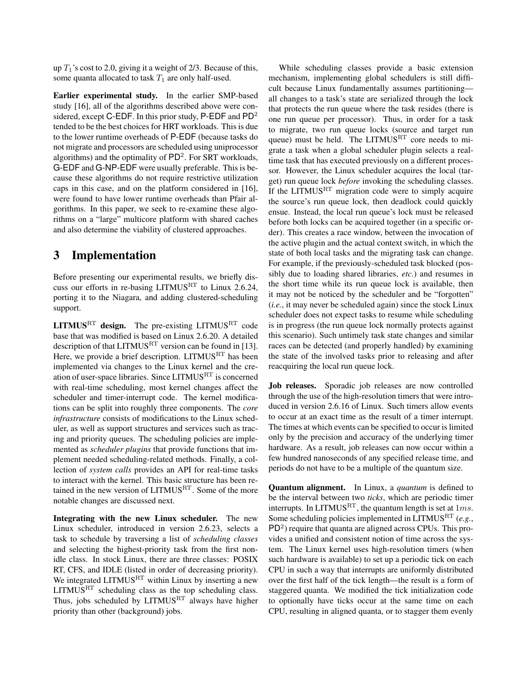up  $T_1$ 's cost to 2.0, giving it a weight of 2/3. Because of this, some quanta allocated to task  $T_1$  are only half-used.

Earlier experimental study. In the earlier SMP-based study [16], all of the algorithms described above were considered, except C-EDF. In this prior study, P-EDF and PD<sup>2</sup> tended to be the best choices for HRT workloads. This is due to the lower runtime overheads of P-EDF (because tasks do not migrate and processors are scheduled using uniprocessor algorithms) and the optimality of PD<sup>2</sup>. For SRT workloads, G-EDF and G-NP-EDF were usually preferable. This is because these algorithms do not require restrictive utilization caps in this case, and on the platform considered in [16], were found to have lower runtime overheads than Pfair algorithms. In this paper, we seek to re-examine these algorithms on a "large" multicore platform with shared caches and also determine the viability of clustered approaches.

# 3 Implementation

Before presenting our experimental results, we briefly discuss our efforts in re-basing LITMUSRT to Linux 2.6.24, porting it to the Niagara, and adding clustered-scheduling support.

LITMUSRT design. The pre-existing LITMUSRT code base that was modified is based on Linux 2.6.20. A detailed description of that LITMUS<sup>RT</sup> version can be found in [13]. Here, we provide a brief description. LITMUS<sup>RT</sup> has been implemented via changes to the Linux kernel and the creation of user-space libraries. Since LITMUSRT is concerned with real-time scheduling, most kernel changes affect the scheduler and timer-interrupt code. The kernel modifications can be split into roughly three components. The *core infrastructure* consists of modifications to the Linux scheduler, as well as support structures and services such as tracing and priority queues. The scheduling policies are implemented as *scheduler plugins* that provide functions that implement needed scheduling-related methods. Finally, a collection of *system calls* provides an API for real-time tasks to interact with the kernel. This basic structure has been retained in the new version of LITMUSRT. Some of the more notable changes are discussed next.

Integrating with the new Linux scheduler. The new Linux scheduler, introduced in version 2.6.23, selects a task to schedule by traversing a list of *scheduling classes* and selecting the highest-priority task from the first nonidle class. In stock Linux, there are three classes: POSIX RT, CFS, and IDLE (listed in order of decreasing priority). We integrated LITMUS<sup>RT</sup> within Linux by inserting a new  $LITMUS<sup>RT</sup>$  scheduling class as the top scheduling class. Thus, jobs scheduled by  $LITMUS<sup>RT</sup>$  always have higher priority than other (background) jobs.

While scheduling classes provide a basic extension mechanism, implementing global schedulers is still difficult because Linux fundamentally assumes partitioning all changes to a task's state are serialized through the lock that protects the run queue where the task resides (there is one run queue per processor). Thus, in order for a task to migrate, two run queue locks (source and target run queue) must be held. The LITMUS<sup>RT</sup> core needs to migrate a task when a global scheduler plugin selects a realtime task that has executed previously on a different processor. However, the Linux scheduler acquires the local (target) run queue lock *before* invoking the scheduling classes. If the LITMUS<sup>RT</sup> migration code were to simply acquire the source's run queue lock, then deadlock could quickly ensue. Instead, the local run queue's lock must be released before both locks can be acquired together (in a specific order). This creates a race window, between the invocation of the active plugin and the actual context switch, in which the state of both local tasks and the migrating task can change. For example, if the previously-scheduled task blocked (possibly due to loading shared libraries, *etc.*) and resumes in the short time while its run queue lock is available, then it may not be noticed by the scheduler and be "forgotten" (*i.e.*, it may never be scheduled again) since the stock Linux scheduler does not expect tasks to resume while scheduling is in progress (the run queue lock normally protects against this scenario). Such untimely task state changes and similar races can be detected (and properly handled) by examining the state of the involved tasks prior to releasing and after reacquiring the local run queue lock.

Job releases. Sporadic job releases are now controlled through the use of the high-resolution timers that were introduced in version 2.6.16 of Linux. Such timers allow events to occur at an exact time as the result of a timer interrupt. The times at which events can be specified to occur is limited only by the precision and accuracy of the underlying timer hardware. As a result, job releases can now occur within a few hundred nanoseconds of any specified release time, and periods do not have to be a multiple of the quantum size.

Quantum alignment. In Linux, a *quantum* is defined to be the interval between two *ticks*, which are periodic timer interrupts. In LITMUS<sup>RT</sup>, the quantum length is set at  $1ms$ . Some scheduling policies implemented in LITMUSRT (*e.g.*,  $PD<sup>2</sup>$ ) require that quanta are aligned across CPUs. This provides a unified and consistent notion of time across the system. The Linux kernel uses high-resolution timers (when such hardware is available) to set up a periodic tick on each CPU in such a way that interrupts are uniformly distributed over the first half of the tick length—the result is a form of staggered quanta. We modified the tick initialization code to optionally have ticks occur at the same time on each CPU, resulting in aligned quanta, or to stagger them evenly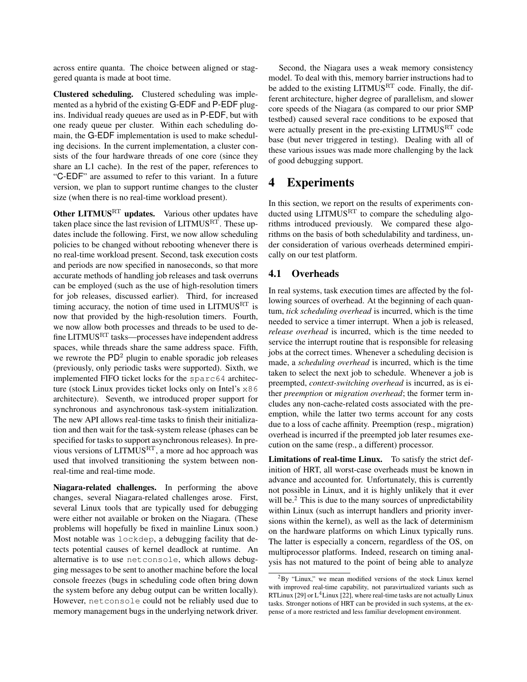across entire quanta. The choice between aligned or staggered quanta is made at boot time.

Clustered scheduling. Clustered scheduling was implemented as a hybrid of the existing G-EDF and P-EDF plugins. Individual ready queues are used as in P-EDF, but with one ready queue per cluster. Within each scheduling domain, the G-EDF implementation is used to make scheduling decisions. In the current implementation, a cluster consists of the four hardware threads of one core (since they share an L1 cache). In the rest of the paper, references to "C-EDF" are assumed to refer to this variant. In a future version, we plan to support runtime changes to the cluster size (when there is no real-time workload present).

Other LITMUS<sup>RT</sup> updates. Various other updates have taken place since the last revision of  $LITMUS<sup>RT</sup>$ . These updates include the following. First, we now allow scheduling policies to be changed without rebooting whenever there is no real-time workload present. Second, task execution costs and periods are now specified in nanoseconds, so that more accurate methods of handling job releases and task overruns can be employed (such as the use of high-resolution timers for job releases, discussed earlier). Third, for increased timing accuracy, the notion of time used in LITMUSRT is now that provided by the high-resolution timers. Fourth, we now allow both processes and threads to be used to define LITMUSRT tasks—processes have independent address spaces, while threads share the same address space. Fifth, we rewrote the  $PD<sup>2</sup>$  plugin to enable sporadic job releases (previously, only periodic tasks were supported). Sixth, we implemented FIFO ticket locks for the sparc64 architecture (stock Linux provides ticket locks only on Intel's x86 architecture). Seventh, we introduced proper support for synchronous and asynchronous task-system initialization. The new API allows real-time tasks to finish their initialization and then wait for the task-system release (phases can be specified for tasks to support asynchronous releases). In previous versions of LITMUSRT, a more ad hoc approach was used that involved transitioning the system between nonreal-time and real-time mode.

Niagara-related challenges. In performing the above changes, several Niagara-related challenges arose. First, several Linux tools that are typically used for debugging were either not available or broken on the Niagara. (These problems will hopefully be fixed in mainline Linux soon.) Most notable was lockdep, a debugging facility that detects potential causes of kernel deadlock at runtime. An alternative is to use netconsole, which allows debugging messages to be sent to another machine before the local console freezes (bugs in scheduling code often bring down the system before any debug output can be written locally). However, netconsole could not be reliably used due to memory management bugs in the underlying network driver.

Second, the Niagara uses a weak memory consistency model. To deal with this, memory barrier instructions had to be added to the existing  $LITMUS<sup>RT</sup>$  code. Finally, the different architecture, higher degree of parallelism, and slower core speeds of the Niagara (as compared to our prior SMP testbed) caused several race conditions to be exposed that were actually present in the pre-existing LITMUS<sup>RT</sup> code base (but never triggered in testing). Dealing with all of these various issues was made more challenging by the lack of good debugging support.

## 4 Experiments

In this section, we report on the results of experiments conducted using  $LITMUS<sup>RT</sup>$  to compare the scheduling algorithms introduced previously. We compared these algorithms on the basis of both schedulability and tardiness, under consideration of various overheads determined empirically on our test platform.

#### 4.1 Overheads

In real systems, task execution times are affected by the following sources of overhead. At the beginning of each quantum, *tick scheduling overhead* is incurred, which is the time needed to service a timer interrupt. When a job is released, *release overhead* is incurred, which is the time needed to service the interrupt routine that is responsible for releasing jobs at the correct times. Whenever a scheduling decision is made, a *scheduling overhead* is incurred, which is the time taken to select the next job to schedule. Whenever a job is preempted, *context-switching overhead* is incurred, as is either *preemption* or *migration overhead*; the former term includes any non-cache-related costs associated with the preemption, while the latter two terms account for any costs due to a loss of cache affinity. Preemption (resp., migration) overhead is incurred if the preempted job later resumes execution on the same (resp., a different) processor.

Limitations of real-time Linux. To satisfy the strict definition of HRT, all worst-case overheads must be known in advance and accounted for. Unfortunately, this is currently not possible in Linux, and it is highly unlikely that it ever will be. $<sup>2</sup>$  This is due to the many sources of unpredictability</sup> within Linux (such as interrupt handlers and priority inversions within the kernel), as well as the lack of determinism on the hardware platforms on which Linux typically runs. The latter is especially a concern, regardless of the OS, on multiprocessor platforms. Indeed, research on timing analysis has not matured to the point of being able to analyze

<sup>2</sup>By "Linux," we mean modified versions of the stock Linux kernel with improved real-time capability, not paravirtualized variants such as RTLinux [29] or  $L^4$ Linux [22], where real-time tasks are not actually Linux tasks. Stronger notions of HRT can be provided in such systems, at the expense of a more restricted and less familiar development environment.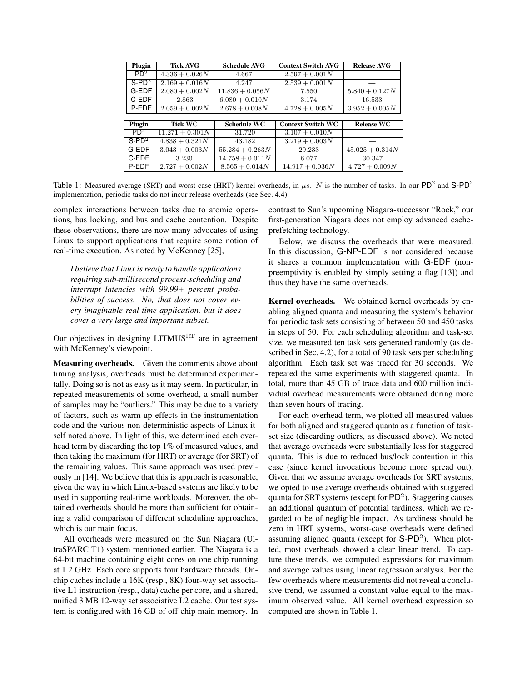| Plugin          | <b>Tick AVG</b>   | <b>Schedule AVG</b> | <b>Context Switch AVG</b> | <b>Release AVG</b> |  |
|-----------------|-------------------|---------------------|---------------------------|--------------------|--|
| PD <sup>2</sup> | $4.336 + 0.026N$  | 4.667               | $2.597 + 0.001N$          |                    |  |
| $S-PD^2$        | $2.169 + 0.016N$  | 4.247               | $2.539 + 0.001N$          |                    |  |
| G-EDF           | $2.080 + 0.002N$  | $11.836 + 0.056N$   | 7.550                     | $5.840 + 0.127N$   |  |
| C-EDF           | 2.863             | $6.080 + 0.010N$    | 3.174                     | 16.533             |  |
| P-EDF           | $2.059 + 0.002N$  | $2.678 + 0.008N$    | $4.728 + 0.005N$          | $3.952 + 0.005N$   |  |
|                 |                   |                     |                           |                    |  |
| Plugin          | <b>Tick WC</b>    | <b>Schedule WC</b>  | <b>Context Switch WC</b>  | <b>Release WC</b>  |  |
| PD <sup>2</sup> | $11.271 + 0.301N$ | 31.720              | $3.107 + 0.010N$          |                    |  |
| $S-PD2$         | $4.838 + 0.321N$  | 43.182              | $3.219 + 0.003N$          |                    |  |
| G-EDF           | $3.043 + 0.003N$  | $55.284 + 0.263N$   | 29.233                    | $45.025 + 0.314N$  |  |
| C-EDF           | 3.230             | $14.758 + 0.011N$   | 6.077                     | 30.347             |  |
| P-EDF           | $2.727 + 0.002N$  | $8.565 + 0.014N$    | $14.917 + 0.036N$         | $4.727 + 0.009N$   |  |

Table 1: Measured average (SRT) and worst-case (HRT) kernel overheads, in  $\mu s$ . N is the number of tasks. In our PD<sup>2</sup> and S-PD<sup>2</sup> implementation, periodic tasks do not incur release overheads (see Sec. 4.4).

complex interactions between tasks due to atomic operations, bus locking, and bus and cache contention. Despite these observations, there are now many advocates of using Linux to support applications that require some notion of real-time execution. As noted by McKenney [25],

*I believe that Linux is ready to handle applications requiring sub-millisecond process-scheduling and interrupt latencies with 99.99+ percent probabilities of success. No, that does not cover every imaginable real-time application, but it does cover a very large and important subset.*

Our objectives in designing LITMUSRT are in agreement with McKenney's viewpoint.

Measuring overheads. Given the comments above about timing analysis, overheads must be determined experimentally. Doing so is not as easy as it may seem. In particular, in repeated measurements of some overhead, a small number of samples may be "outliers." This may be due to a variety of factors, such as warm-up effects in the instrumentation code and the various non-deterministic aspects of Linux itself noted above. In light of this, we determined each overhead term by discarding the top 1% of measured values, and then taking the maximum (for HRT) or average (for SRT) of the remaining values. This same approach was used previously in [14]. We believe that this is approach is reasonable, given the way in which Linux-based systems are likely to be used in supporting real-time workloads. Moreover, the obtained overheads should be more than sufficient for obtaining a valid comparison of different scheduling approaches, which is our main focus.

All overheads were measured on the Sun Niagara (UltraSPARC T1) system mentioned earlier. The Niagara is a 64-bit machine containing eight cores on one chip running at 1.2 GHz. Each core supports four hardware threads. Onchip caches include a 16K (resp., 8K) four-way set associative L1 instruction (resp., data) cache per core, and a shared, unified 3 MB 12-way set associative L2 cache. Our test system is configured with 16 GB of off-chip main memory. In contrast to Sun's upcoming Niagara-successor "Rock," our first-generation Niagara does not employ advanced cacheprefetching technology.

Below, we discuss the overheads that were measured. In this discussion, G-NP-EDF is not considered because it shares a common implementation with G-EDF (nonpreemptivity is enabled by simply setting a flag [13]) and thus they have the same overheads.

Kernel overheads. We obtained kernel overheads by enabling aligned quanta and measuring the system's behavior for periodic task sets consisting of between 50 and 450 tasks in steps of 50. For each scheduling algorithm and task-set size, we measured ten task sets generated randomly (as described in Sec. 4.2), for a total of 90 task sets per scheduling algorithm. Each task set was traced for 30 seconds. We repeated the same experiments with staggered quanta. In total, more than 45 GB of trace data and 600 million individual overhead measurements were obtained during more than seven hours of tracing.

For each overhead term, we plotted all measured values for both aligned and staggered quanta as a function of taskset size (discarding outliers, as discussed above). We noted that average overheads were substantially less for staggered quanta. This is due to reduced bus/lock contention in this case (since kernel invocations become more spread out). Given that we assume average overheads for SRT systems, we opted to use average overheads obtained with staggered quanta for SRT systems (except for  $\mathsf{PD}^2$ ). Staggering causes an additional quantum of potential tardiness, which we regarded to be of negligible impact. As tardiness should be zero in HRT systems, worst-case overheads were defined assuming aligned quanta (except for  $S-PD<sup>2</sup>$ ). When plotted, most overheads showed a clear linear trend. To capture these trends, we computed expressions for maximum and average values using linear regression analysis. For the few overheads where measurements did not reveal a conclusive trend, we assumed a constant value equal to the maximum observed value. All kernel overhead expression so computed are shown in Table 1.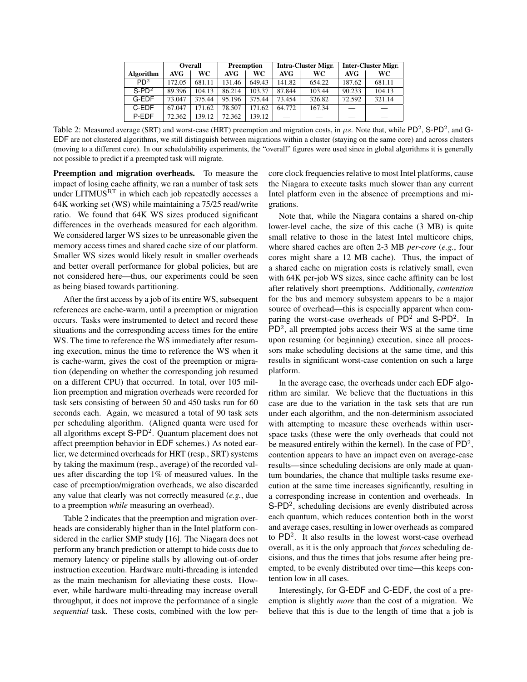|                  | Overall |        | <b>Preemption</b> |        | <b>Intra-Cluster Migr.</b> |        | <b>Inter-Cluster Migr.</b> |           |
|------------------|---------|--------|-------------------|--------|----------------------------|--------|----------------------------|-----------|
| <b>Algorithm</b> | AVG     | WC.    | AVG-              | WC.    | AVG-                       | WC.    | AVG                        | <b>WC</b> |
| PD <sup>2</sup>  | 172.05  | 681.11 | 131.46            | 649.43 | 141.82                     | 654.22 | 187.62                     | 681.11    |
| $S-PP2$          | 89.396  | 104.13 | 86.214            | 103.37 | 87.844                     | 103.44 | 90.233                     | 104.13    |
| G-EDF            | 73.047  | 375.44 | 95.196            | 375.44 | 73.454                     | 326.82 | 72.592                     | 321.14    |
| C-EDF            | 67.047  | 171.62 | 78.507            | 171.62 | 64.772                     | 167.34 |                            |           |
| P-EDF            | 72.362  | 139.12 | 72.362            | 139.12 |                            |        |                            |           |

Table 2: Measured average (SRT) and worst-case (HRT) preemption and migration costs, in  $\mu s$ . Note that, while PD<sup>2</sup>, S-PD<sup>2</sup>, and G-EDF are not clustered algorithms, we still distinguish between migrations within a cluster (staying on the same core) and across clusters (moving to a different core). In our schedulability experiments, the "overall" figures were used since in global algorithms it is generally not possible to predict if a preempted task will migrate.

Preemption and migration overheads. To measure the impact of losing cache affinity, we ran a number of task sets under LITMUSRT in which each job repeatedly accesses a 64K working set (WS) while maintaining a 75/25 read/write ratio. We found that 64K WS sizes produced significant differences in the overheads measured for each algorithm. We considered larger WS sizes to be unreasonable given the memory access times and shared cache size of our platform. Smaller WS sizes would likely result in smaller overheads and better overall performance for global policies, but are not considered here—thus, our experiments could be seen as being biased towards partitioning.

After the first access by a job of its entire WS, subsequent references are cache-warm, until a preemption or migration occurs. Tasks were instrumented to detect and record these situations and the corresponding access times for the entire WS. The time to reference the WS immediately after resuming execution, minus the time to reference the WS when it is cache-warm, gives the cost of the preemption or migration (depending on whether the corresponding job resumed on a different CPU) that occurred. In total, over 105 million preemption and migration overheads were recorded for task sets consisting of between 50 and 450 tasks run for 60 seconds each. Again, we measured a total of 90 task sets per scheduling algorithm. (Aligned quanta were used for all algorithms except  $S-PD^2$ . Quantum placement does not affect preemption behavior in EDF schemes.) As noted earlier, we determined overheads for HRT (resp., SRT) systems by taking the maximum (resp., average) of the recorded values after discarding the top 1% of measured values. In the case of preemption/migration overheads, we also discarded any value that clearly was not correctly measured (*e.g.*, due to a preemption *while* measuring an overhead).

Table 2 indicates that the preemption and migration overheads are considerably higher than in the Intel platform considered in the earlier SMP study [16]. The Niagara does not perform any branch prediction or attempt to hide costs due to memory latency or pipeline stalls by allowing out-of-order instruction execution. Hardware multi-threading is intended as the main mechanism for alleviating these costs. However, while hardware multi-threading may increase overall throughput, it does not improve the performance of a single *sequential* task. These costs, combined with the low percore clock frequencies relative to most Intel platforms, cause the Niagara to execute tasks much slower than any current Intel platform even in the absence of preemptions and migrations.

Note that, while the Niagara contains a shared on-chip lower-level cache, the size of this cache (3 MB) is quite small relative to those in the latest Intel multicore chips, where shared caches are often 2-3 MB *per-core* (*e.g.*, four cores might share a 12 MB cache). Thus, the impact of a shared cache on migration costs is relatively small, even with 64K per-job WS sizes, since cache affinity can be lost after relatively short preemptions. Additionally, *contention* for the bus and memory subsystem appears to be a major source of overhead—this is especially apparent when comparing the worst-case overheads of  $PD^2$  and  $S-PD^2$ . In PD<sup>2</sup>, all preempted jobs access their WS at the same time upon resuming (or beginning) execution, since all processors make scheduling decisions at the same time, and this results in significant worst-case contention on such a large platform.

In the average case, the overheads under each EDF algorithm are similar. We believe that the fluctuations in this case are due to the variation in the task sets that are run under each algorithm, and the non-determinism associated with attempting to measure these overheads within userspace tasks (these were the only overheads that could not be measured entirely within the kernel). In the case of  $PD^2$ , contention appears to have an impact even on average-case results—since scheduling decisions are only made at quantum boundaries, the chance that multiple tasks resume execution at the same time increases significantly, resulting in a corresponding increase in contention and overheads. In  $S-PD<sup>2</sup>$ , scheduling decisions are evenly distributed across each quantum, which reduces contention both in the worst and average cases, resulting in lower overheads as compared to  $PD<sup>2</sup>$ . It also results in the lowest worst-case overhead overall, as it is the only approach that *forces* scheduling decisions, and thus the times that jobs resume after being preempted, to be evenly distributed over time—this keeps contention low in all cases.

Interestingly, for G-EDF and C-EDF, the cost of a preemption is slightly *more* than the cost of a migration. We believe that this is due to the length of time that a job is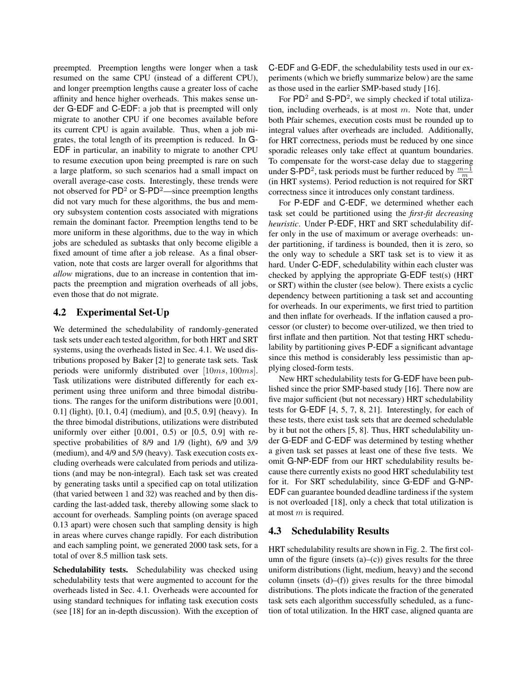preempted. Preemption lengths were longer when a task resumed on the same CPU (instead of a different CPU), and longer preemption lengths cause a greater loss of cache affinity and hence higher overheads. This makes sense under G-EDF and C-EDF: a job that is preempted will only migrate to another CPU if one becomes available before its current CPU is again available. Thus, when a job migrates, the total length of its preemption is reduced. In G-EDF in particular, an inability to migrate to another CPU to resume execution upon being preempted is rare on such a large platform, so such scenarios had a small impact on overall average-case costs. Interestingly, these trends were not observed for  $PD^2$  or  $S-PD^2$ —since preemption lengths did not vary much for these algorithms, the bus and memory subsystem contention costs associated with migrations remain the dominant factor. Preemption lengths tend to be more uniform in these algorithms, due to the way in which jobs are scheduled as subtasks that only become eligible a fixed amount of time after a job release. As a final observation, note that costs are larger overall for algorithms that *allow* migrations, due to an increase in contention that impacts the preemption and migration overheads of all jobs, even those that do not migrate.

#### 4.2 Experimental Set-Up

We determined the schedulability of randomly-generated task sets under each tested algorithm, for both HRT and SRT systems, using the overheads listed in Sec. 4.1. We used distributions proposed by Baker [2] to generate task sets. Task periods were uniformly distributed over [10ms, 100ms]. Task utilizations were distributed differently for each experiment using three uniform and three bimodal distributions. The ranges for the uniform distributions were [0.001, 0.1] (light), [0.1, 0.4] (medium), and [0.5, 0.9] (heavy). In the three bimodal distributions, utilizations were distributed uniformly over either  $[0.001, 0.5)$  or  $[0.5, 0.9]$  with respective probabilities of 8/9 and 1/9 (light), 6/9 and 3/9 (medium), and 4/9 and 5/9 (heavy). Task execution costs excluding overheads were calculated from periods and utilizations (and may be non-integral). Each task set was created by generating tasks until a specified cap on total utilization (that varied between 1 and 32) was reached and by then discarding the last-added task, thereby allowing some slack to account for overheads. Sampling points (on average spaced 0.13 apart) were chosen such that sampling density is high in areas where curves change rapidly. For each distribution and each sampling point, we generated 2000 task sets, for a total of over 8.5 million task sets.

Schedulability tests. Schedulability was checked using schedulability tests that were augmented to account for the overheads listed in Sec. 4.1. Overheads were accounted for using standard techniques for inflating task execution costs (see [18] for an in-depth discussion). With the exception of C-EDF and G-EDF, the schedulability tests used in our experiments (which we briefly summarize below) are the same as those used in the earlier SMP-based study [16].

For  $PD^2$  and  $S-PD^2$ , we simply checked if total utilization, including overheads, is at most  $m$ . Note that, under both Pfair schemes, execution costs must be rounded up to integral values after overheads are included. Additionally, for HRT correctness, periods must be reduced by one since sporadic releases only take effect at quantum boundaries. To compensate for the worst-case delay due to staggering under S-PD<sup>2</sup>, task periods must be further reduced by  $\frac{m-1}{m}$ (in HRT systems). Period reduction is not required for SRT correctness since it introduces only constant tardiness.

For P-EDF and C-EDF, we determined whether each task set could be partitioned using the *first-fit decreasing heuristic*. Under P-EDF, HRT and SRT schedulability differ only in the use of maximum or average overheads: under partitioning, if tardiness is bounded, then it is zero, so the only way to schedule a SRT task set is to view it as hard. Under C-EDF, schedulability within each cluster was checked by applying the appropriate G-EDF test(s) (HRT or SRT) within the cluster (see below). There exists a cyclic dependency between partitioning a task set and accounting for overheads. In our experiments, we first tried to partition and then inflate for overheads. If the inflation caused a processor (or cluster) to become over-utilized, we then tried to first inflate and then partition. Not that testing HRT schedulability by partitioning gives P-EDF a significant advantage since this method is considerably less pessimistic than applying closed-form tests.

New HRT schedulability tests for G-EDF have been published since the prior SMP-based study [16]. There now are five major sufficient (but not necessary) HRT schedulability tests for G-EDF [4, 5, 7, 8, 21]. Interestingly, for each of these tests, there exist task sets that are deemed schedulable by it but not the others [5, 8]. Thus, HRT schedulability under G-EDF and C-EDF was determined by testing whether a given task set passes at least one of these five tests. We omit G-NP-EDF from our HRT schedulability results because there currently exists no good HRT schedulability test for it. For SRT schedulability, since G-EDF and G-NP-EDF can guarantee bounded deadline tardiness if the system is not overloaded [18], only a check that total utilization is at most  $m$  is required.

#### 4.3 Schedulability Results

HRT schedulability results are shown in Fig. 2. The first column of the figure (insets  $(a)$ – $(c)$ ) gives results for the three uniform distributions (light, medium, heavy) and the second column (insets  $(d)$ – $(f)$ ) gives results for the three bimodal distributions. The plots indicate the fraction of the generated task sets each algorithm successfully scheduled, as a function of total utilization. In the HRT case, aligned quanta are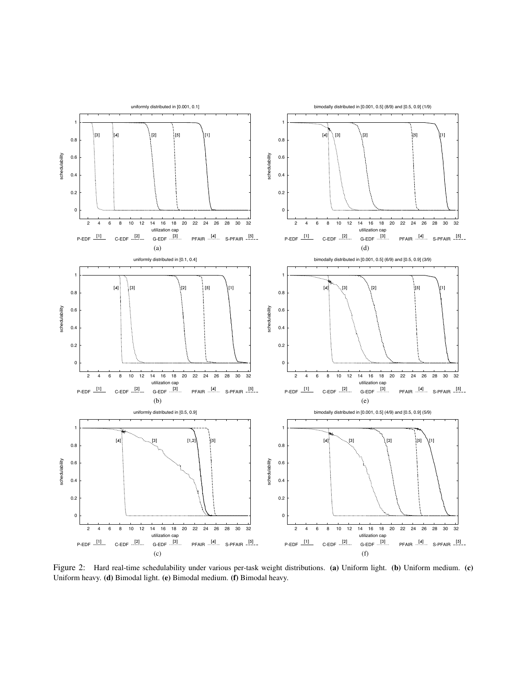

Figure 2: Hard real-time schedulability under various per-task weight distributions. (a) Uniform light. (b) Uniform medium. (c) Uniform heavy. (d) Bimodal light. (e) Bimodal medium. (f) Bimodal heavy.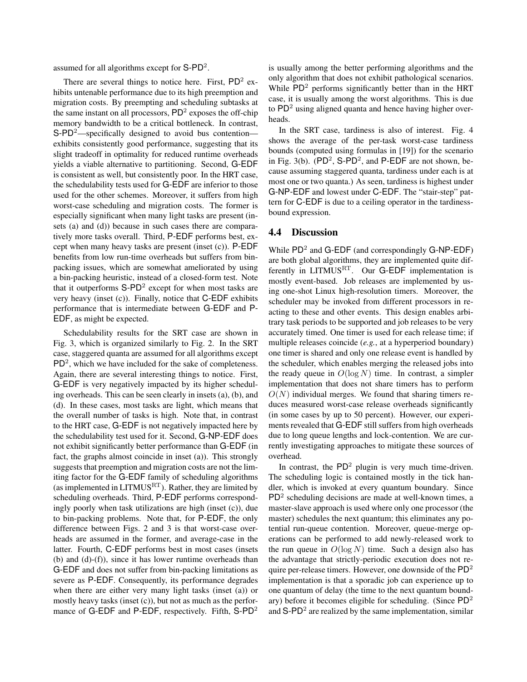assumed for all algorithms except for  $S-PD^2$ .

There are several things to notice here. First,  $PD^2$  exhibits untenable performance due to its high preemption and migration costs. By preempting and scheduling subtasks at the same instant on all processors, PD<sup>2</sup> exposes the off-chip memory bandwidth to be a critical bottleneck. In contrast,  $S-PD<sup>2</sup>$ —specifically designed to avoid bus contention exhibits consistently good performance, suggesting that its slight tradeoff in optimality for reduced runtime overheads yields a viable alternative to partitioning. Second, G-EDF is consistent as well, but consistently poor. In the HRT case, the schedulability tests used for G-EDF are inferior to those used for the other schemes. Moreover, it suffers from high worst-case scheduling and migration costs. The former is especially significant when many light tasks are present (insets (a) and (d)) because in such cases there are comparatively more tasks overall. Third, P-EDF performs best, except when many heavy tasks are present (inset (c)). P-EDF benefits from low run-time overheads but suffers from binpacking issues, which are somewhat ameliorated by using a bin-packing heuristic, instead of a closed-form test. Note that it outperforms  $S-PD^2$  except for when most tasks are very heavy (inset (c)). Finally, notice that C-EDF exhibits performance that is intermediate between G-EDF and P-EDF, as might be expected.

Schedulability results for the SRT case are shown in Fig. 3, which is organized similarly to Fig. 2. In the SRT case, staggered quanta are assumed for all algorithms except  $PD<sup>2</sup>$ , which we have included for the sake of completeness. Again, there are several interesting things to notice. First, G-EDF is very negatively impacted by its higher scheduling overheads. This can be seen clearly in insets (a), (b), and (d). In these cases, most tasks are light, which means that the overall number of tasks is high. Note that, in contrast to the HRT case, G-EDF is not negatively impacted here by the schedulability test used for it. Second, G-NP-EDF does not exhibit significantly better performance than G-EDF (in fact, the graphs almost coincide in inset (a)). This strongly suggests that preemption and migration costs are not the limiting factor for the G-EDF family of scheduling algorithms (as implemented in  $LITMUS<sup>RT</sup>$ ). Rather, they are limited by scheduling overheads. Third, P-EDF performs correspondingly poorly when task utilizations are high (inset (c)), due to bin-packing problems. Note that, for P-EDF, the only difference between Figs. 2 and 3 is that worst-case overheads are assumed in the former, and average-case in the latter. Fourth, C-EDF performs best in most cases (insets (b) and (d)-(f)), since it has lower runtime overheads than G-EDF and does not suffer from bin-packing limitations as severe as P-EDF. Consequently, its performance degrades when there are either very many light tasks (inset (a)) or mostly heavy tasks (inset (c)), but not as much as the performance of G-EDF and P-EDF, respectively. Fifth, S-PD<sup>2</sup>

is usually among the better performing algorithms and the only algorithm that does not exhibit pathological scenarios. While PD<sup>2</sup> performs significantly better than in the HRT case, it is usually among the worst algorithms. This is due to  $PD<sup>2</sup>$  using aligned quanta and hence having higher overheads.

In the SRT case, tardiness is also of interest. Fig. 4 shows the average of the per-task worst-case tardiness bounds (computed using formulas in [19]) for the scenario in Fig. 3(b).  $(PD^2, S-PD^2, and P-EDF$  are not shown, because assuming staggered quanta, tardiness under each is at most one or two quanta.) As seen, tardiness is highest under G-NP-EDF and lowest under C-EDF. The "stair-step" pattern for C-EDF is due to a ceiling operator in the tardinessbound expression.

#### 4.4 Discussion

While PD<sup>2</sup> and G-EDF (and correspondingly G-NP-EDF) are both global algorithms, they are implemented quite differently in  $LITMUS<sup>RT</sup>$ . Our G-EDF implementation is mostly event-based. Job releases are implemented by using one-shot Linux high-resolution timers. Moreover, the scheduler may be invoked from different processors in reacting to these and other events. This design enables arbitrary task periods to be supported and job releases to be very accurately timed. One timer is used for each release time; if multiple releases coincide (*e.g.*, at a hyperperiod boundary) one timer is shared and only one release event is handled by the scheduler, which enables merging the released jobs into the ready queue in  $O(\log N)$  time. In contrast, a simpler implementation that does not share timers has to perform  $O(N)$  individual merges. We found that sharing timers reduces measured worst-case release overheads significantly (in some cases by up to 50 percent). However, our experiments revealed that G-EDF still suffers from high overheads due to long queue lengths and lock-contention. We are currently investigating approaches to mitigate these sources of overhead.

In contrast, the  $PD^2$  plugin is very much time-driven. The scheduling logic is contained mostly in the tick handler, which is invoked at every quantum boundary. Since  $PD<sup>2</sup>$  scheduling decisions are made at well-known times, a master-slave approach is used where only one processor (the master) schedules the next quantum; this eliminates any potential run-queue contention. Moreover, queue-merge operations can be performed to add newly-released work to the run queue in  $O(\log N)$  time. Such a design also has the advantage that strictly-periodic execution does not require per-release timers. However, one downside of the  $PD^2$ implementation is that a sporadic job can experience up to one quantum of delay (the time to the next quantum boundary) before it becomes eligible for scheduling. (Since  $PD^2$ and  $S-PD^2$  are realized by the same implementation, similar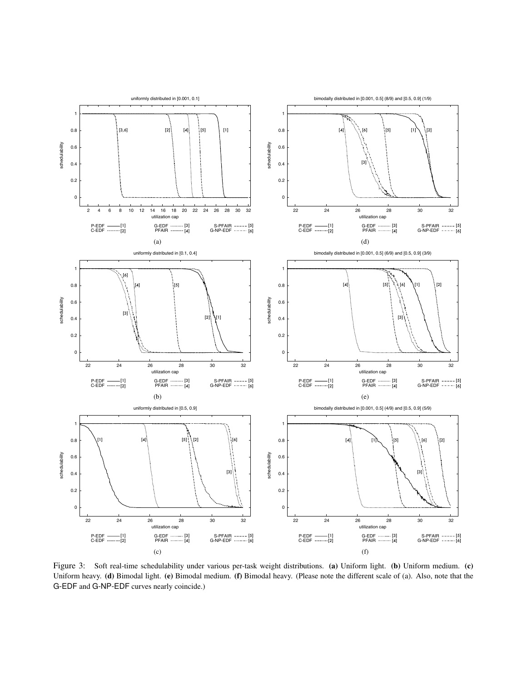

Figure 3: Soft real-time schedulability under various per-task weight distributions. (a) Uniform light. (b) Uniform medium. (c) Uniform heavy. (d) Bimodal light. (e) Bimodal medium. (f) Bimodal heavy. (Please note the different scale of (a). Also, note that the G-EDF and G-NP-EDF curves nearly coincide.)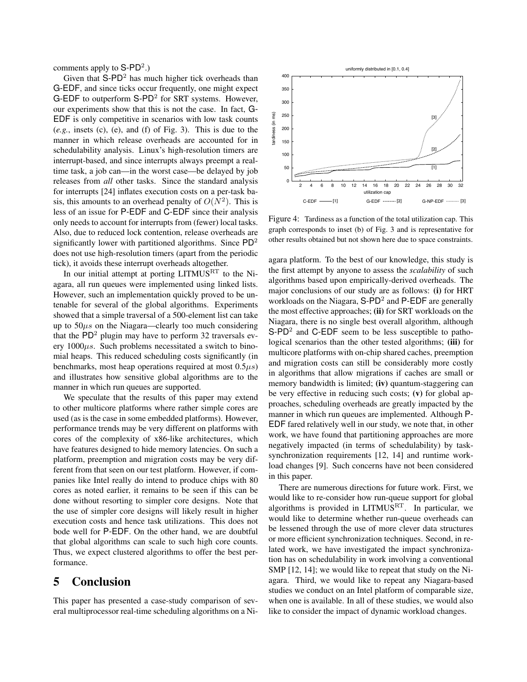comments apply to  $S-PD^2$ .)

Given that  $S-PD^2$  has much higher tick overheads than G-EDF, and since ticks occur frequently, one might expect G-EDF to outperform  $S-PD^2$  for SRT systems. However, our experiments show that this is not the case. In fact, G-EDF is only competitive in scenarios with low task counts (*e.g.*, insets (c), (e), and (f) of Fig. 3). This is due to the manner in which release overheads are accounted for in schedulability analysis. Linux's high-resolution timers are interrupt-based, and since interrupts always preempt a realtime task, a job can—in the worst case—be delayed by job releases from *all* other tasks. Since the standard analysis for interrupts [24] inflates execution costs on a per-task basis, this amounts to an overhead penalty of  $O(N^2)$ . This is less of an issue for P-EDF and C-EDF since their analysis only needs to account for interrupts from (fewer) local tasks. Also, due to reduced lock contention, release overheads are significantly lower with partitioned algorithms. Since  $PD<sup>2</sup>$ does not use high-resolution timers (apart from the periodic tick), it avoids these interrupt overheads altogether.

In our initial attempt at porting LITMUS<sup>RT</sup> to the Niagara, all run queues were implemented using linked lists. However, such an implementation quickly proved to be untenable for several of the global algorithms. Experiments showed that a simple traversal of a 500-element list can take up to  $50\mu s$  on the Niagara—clearly too much considering that the  $PD<sup>2</sup>$  plugin may have to perform 32 traversals every  $1000\mu s$ . Such problems necessitated a switch to binomial heaps. This reduced scheduling costs significantly (in benchmarks, most heap operations required at most  $0.5\mu s$ ) and illustrates how sensitive global algorithms are to the manner in which run queues are supported.

We speculate that the results of this paper may extend to other multicore platforms where rather simple cores are used (as is the case in some embedded platforms). However, performance trends may be very different on platforms with cores of the complexity of x86-like architectures, which have features designed to hide memory latencies. On such a platform, preemption and migration costs may be very different from that seen on our test platform. However, if companies like Intel really do intend to produce chips with 80 cores as noted earlier, it remains to be seen if this can be done without resorting to simpler core designs. Note that the use of simpler core designs will likely result in higher execution costs and hence task utilizations. This does not bode well for P-EDF. On the other hand, we are doubtful that global algorithms can scale to such high core counts. Thus, we expect clustered algorithms to offer the best performance.

# 5 Conclusion

This paper has presented a case-study comparison of several multiprocessor real-time scheduling algorithms on a Ni-



Figure 4: Tardiness as a function of the total utilization cap. This graph corresponds to inset (b) of Fig. 3 and is representative for other results obtained but not shown here due to space constraints.

agara platform. To the best of our knowledge, this study is the first attempt by anyone to assess the *scalability* of such algorithms based upon empirically-derived overheads. The major conclusions of our study are as follows: (i) for HRT workloads on the Niagara,  $S-PD^2$  and P-EDF are generally the most effective approaches; (ii) for SRT workloads on the Niagara, there is no single best overall algorithm, although S-PD<sup>2</sup> and C-EDF seem to be less susceptible to pathological scenarios than the other tested algorithms; (iii) for multicore platforms with on-chip shared caches, preemption and migration costs can still be considerably more costly in algorithms that allow migrations if caches are small or memory bandwidth is limited; (iv) quantum-staggering can be very effective in reducing such costs; (v) for global approaches, scheduling overheads are greatly impacted by the manner in which run queues are implemented. Although P-EDF fared relatively well in our study, we note that, in other work, we have found that partitioning approaches are more negatively impacted (in terms of schedulability) by tasksynchronization requirements [12, 14] and runtime workload changes [9]. Such concerns have not been considered in this paper.

There are numerous directions for future work. First, we would like to re-consider how run-queue support for global algorithms is provided in  $LITMUS<sup>RT</sup>$ . In particular, we would like to determine whether run-queue overheads can be lessened through the use of more clever data structures or more efficient synchronization techniques. Second, in related work, we have investigated the impact synchronization has on schedulability in work involving a conventional SMP [12, 14]; we would like to repeat that study on the Niagara. Third, we would like to repeat any Niagara-based studies we conduct on an Intel platform of comparable size, when one is available. In all of these studies, we would also like to consider the impact of dynamic workload changes.